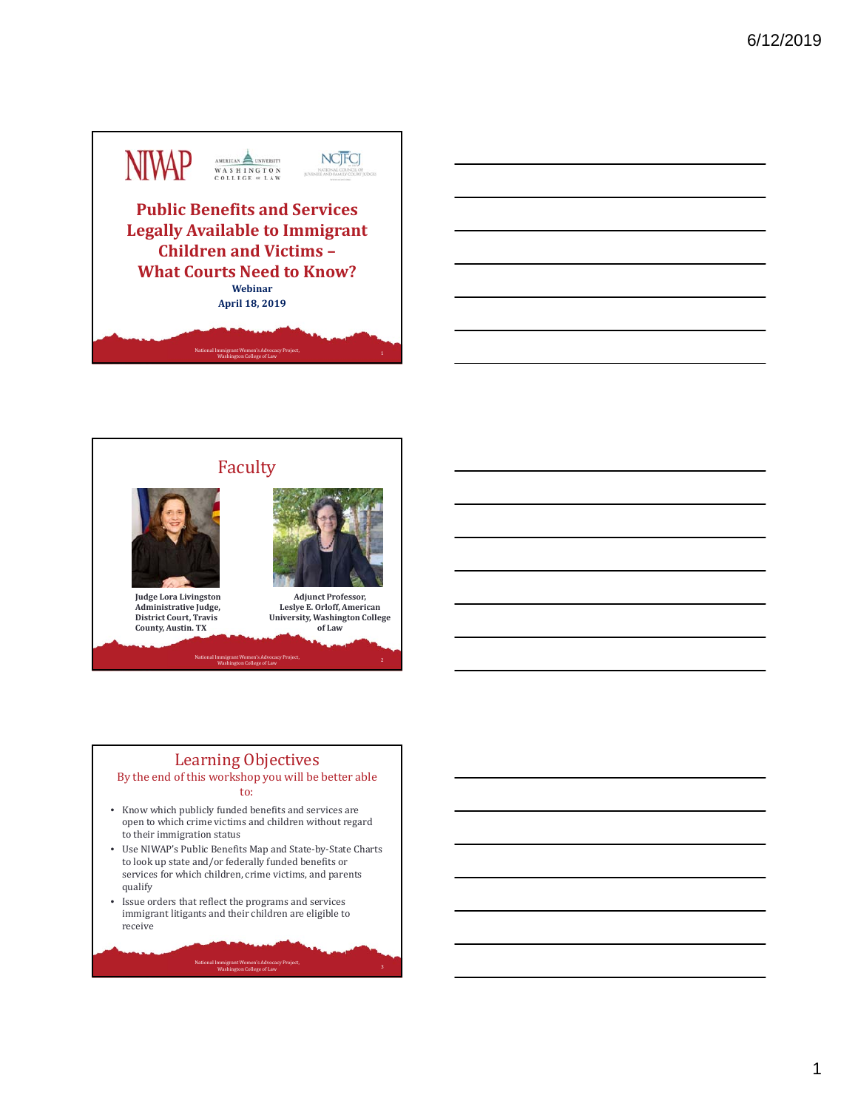



## Learning Objectives

#### By the end of this workshop you will be better able to:

- Know which publicly funded benefits and services are open to which crime victims and children without regard to their immigration status
- Use NIWAP's Public Benefits Map and State-by-State Charts to look up state and/or federally funded benefits or services for which children, crime victims, and parents qualify

3 National Immigrant Women's Advocacy Project, and the control of the control of the control of the control of the control of the control of the control of the control of the control of the control of the control of the co

• Issue orders that reflect the programs and services immigrant litigants and their children are eligible to receive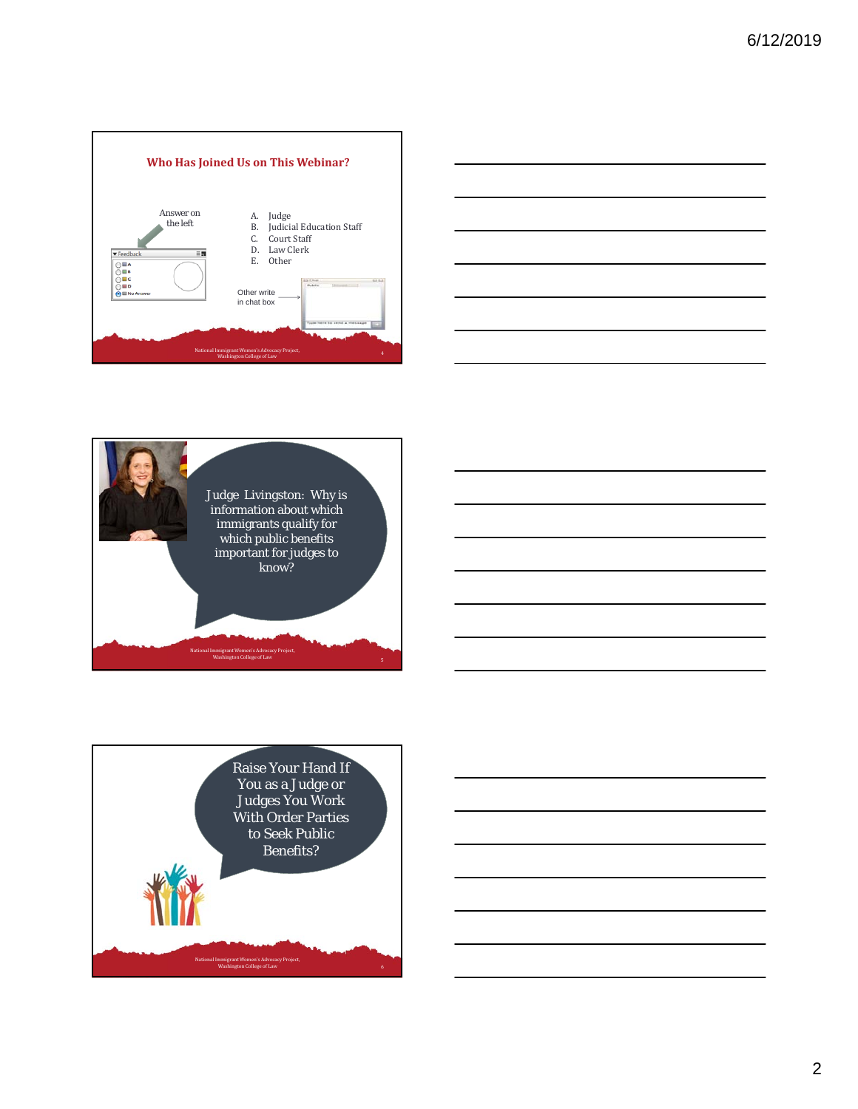







2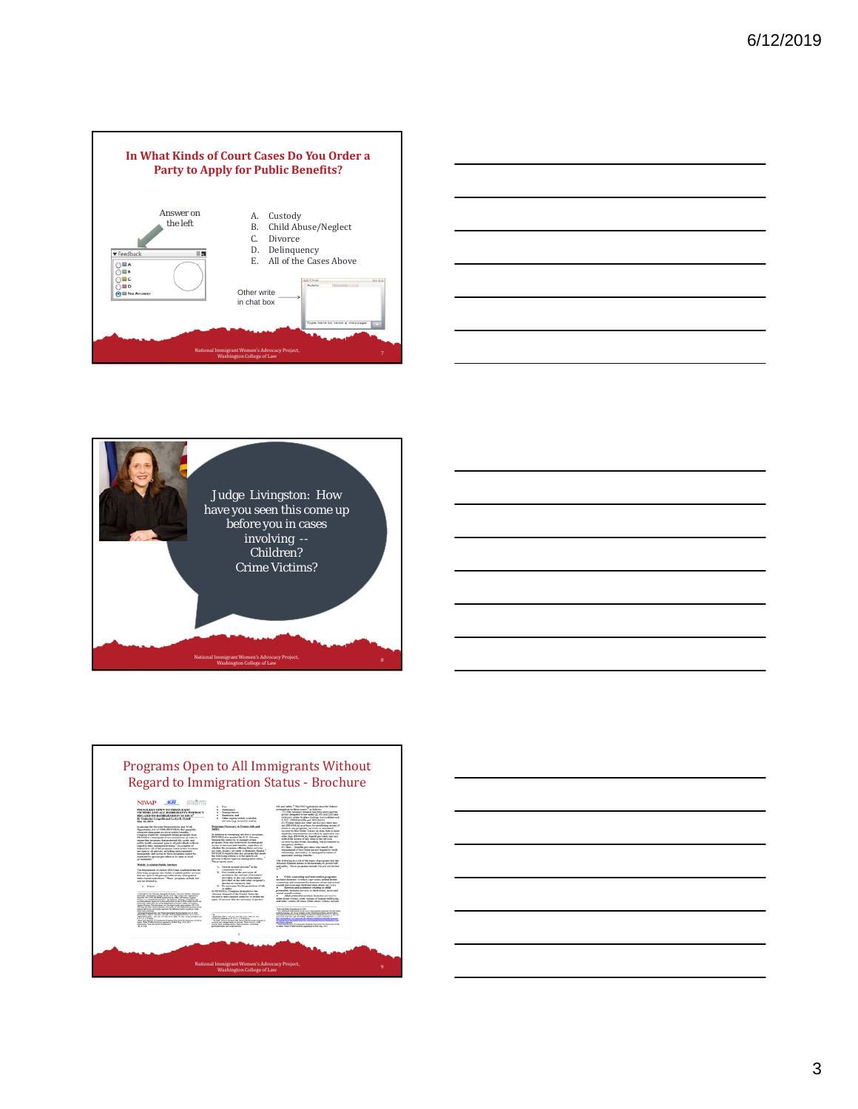







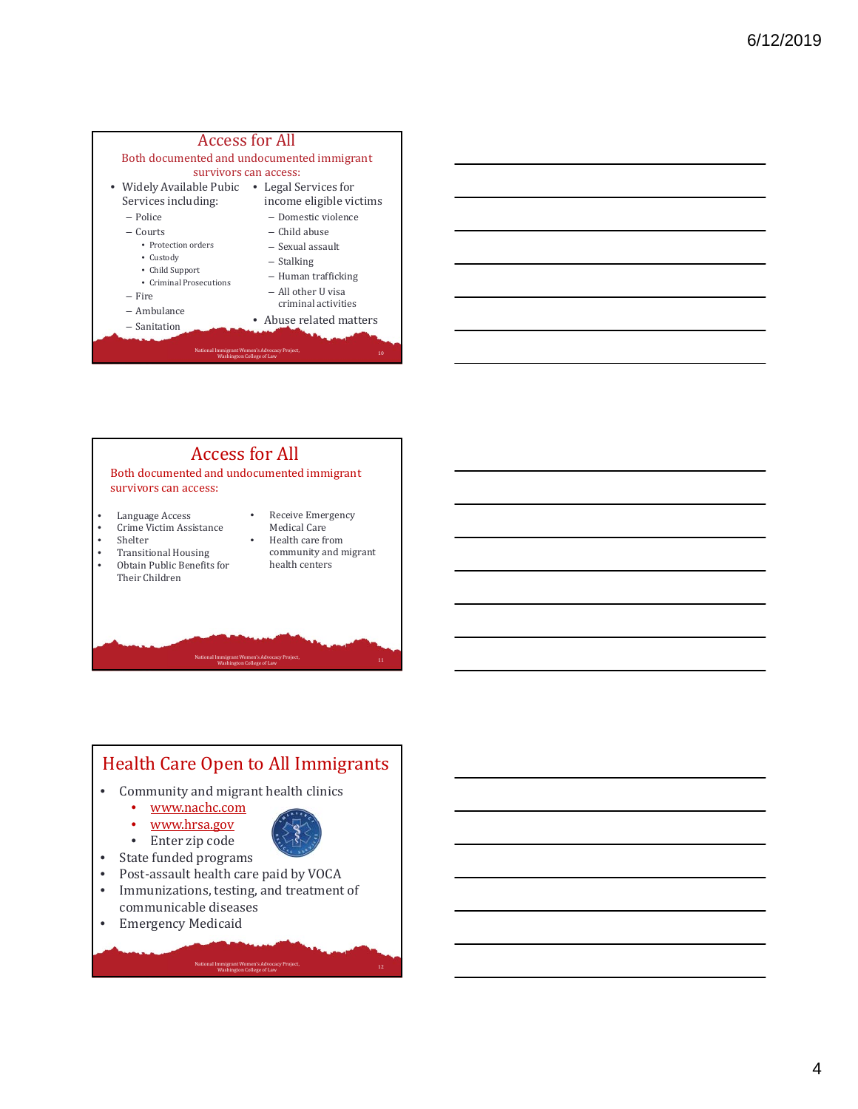



Both documented and undocumented immigrant survivors can access:

- Language Access<br>• Crime Victim Assi
- Crime Victim Assistance
- **Shelter**
- Transitional Housing
- Obtain Public Benefits for Their Children
- Medical Care Health care from

• Receive Emergency

National Immigrant Women's Advocacy Project,<br>
Washington College of Law<br>
11

community and migrant health centers

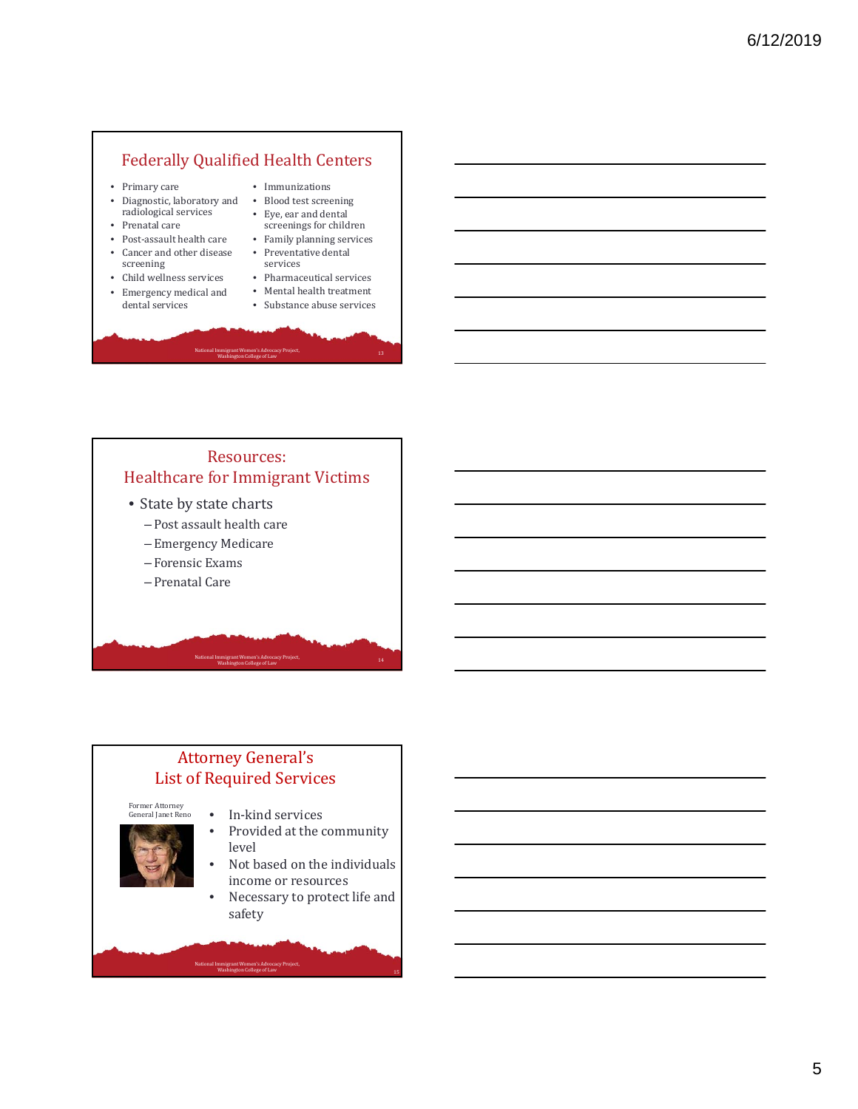## Federally Qualified Health Centers

- Primary care
- Diagnostic, laboratory and radiological services
- Prenatal care
- Post-assault health care • Cancer and other disease
- screening • Child wellness services
- Emergency medical and dental services
- Immunizations • Blood test screening
- Eye, ear and dental
- screenings for children • Family planning services
- Preventative dental
- services • Pharmaceutical services

National Immigrant Women's Advocacy Project, and the control of the collection of the collection of the college of Law 13 and the collection of the collection of the collection of the collection of the collection of the co

- $\bullet$  Mental health treatment
- Substance abuse services

## Resources: Healthcare for Immigrant Victims • State by state charts - Post assault health care – Emergency Medicare – Forensic Exams

– Prenatal Care

## **Attorney General's** List of Required Services

National Immigrant Women's Advocacy Project,<br>Washington College of Law

Former Attorney<br>General Janet Reno

- 
- In-kind services • Provided at the community

National Immigrant Women's Advocacy Project,<br>
Washington College of Law 14

- level • Not based on the individuals
- income or resources
- Necessary to protect life and safety

15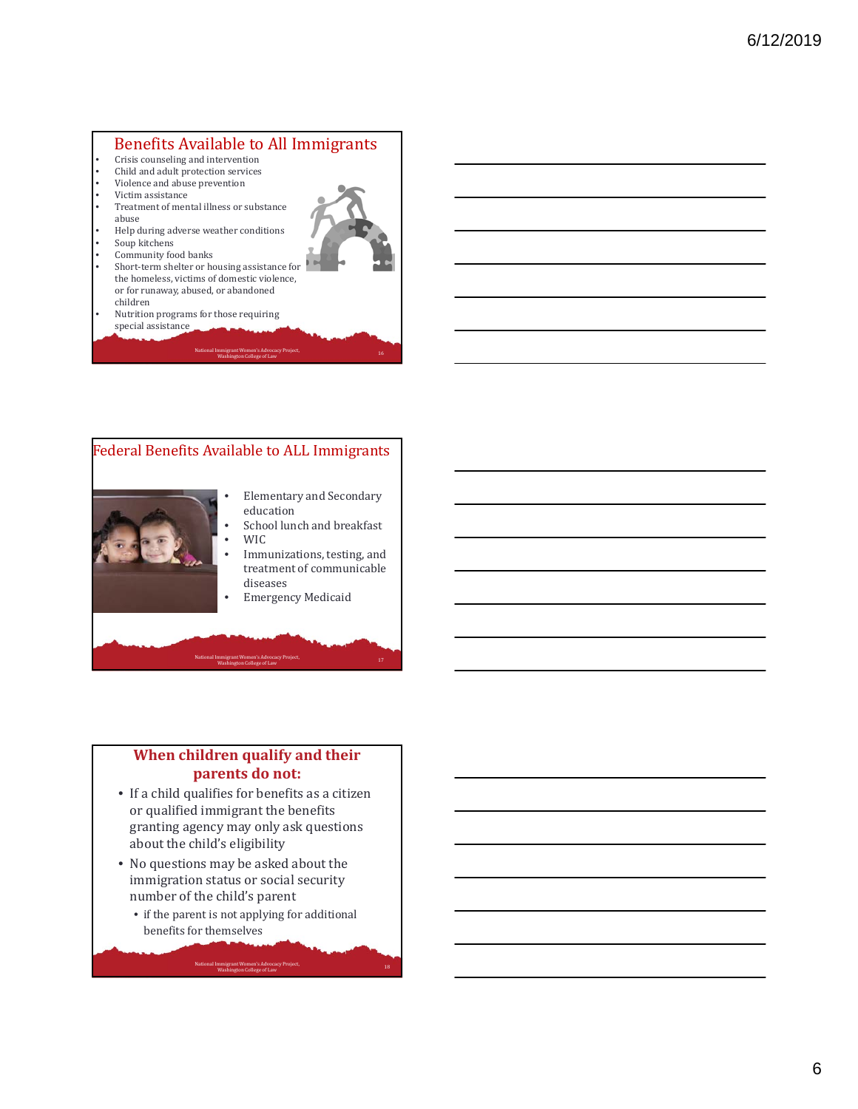## Benefits Available to All Immigrants

- Crisis counseling and intervention
- Child and adult protection services
- Violence and abuse prevention
- Victim assistance
- Treatment of mental illness or substance abuse
- $\ensuremath{\mathsf{Help}}\xspace$  during adverse weather conditions
- Soup kitchens
- Community food banks
- Short-term shelter or housing assistance for the homeless, victims of domestic violence, or for runaway, abused, or abandoned children
- Nutrition programs for those requiring special assistance
	- National Immigrant Women's Advocacy Project, and the control of the control of the control of the control of t<br>Mashington College of Law



#### **When children qualify and their parents do not:**

- If a child qualifies for benefits as a citizen or qualified immigrant the benefits granting agency may only ask questions about the child's eligibility
- No questions may be asked about the immigration status or social security number of the child's parent
	- $\bullet\,$  if the parent is not applying for additional benefits for themselves

18 National Immigrant Women's Advocacy Project, and the control of the collection of the college of Law and the college of Law and the college of Law and the college of Law and the college of Law and the college of Law and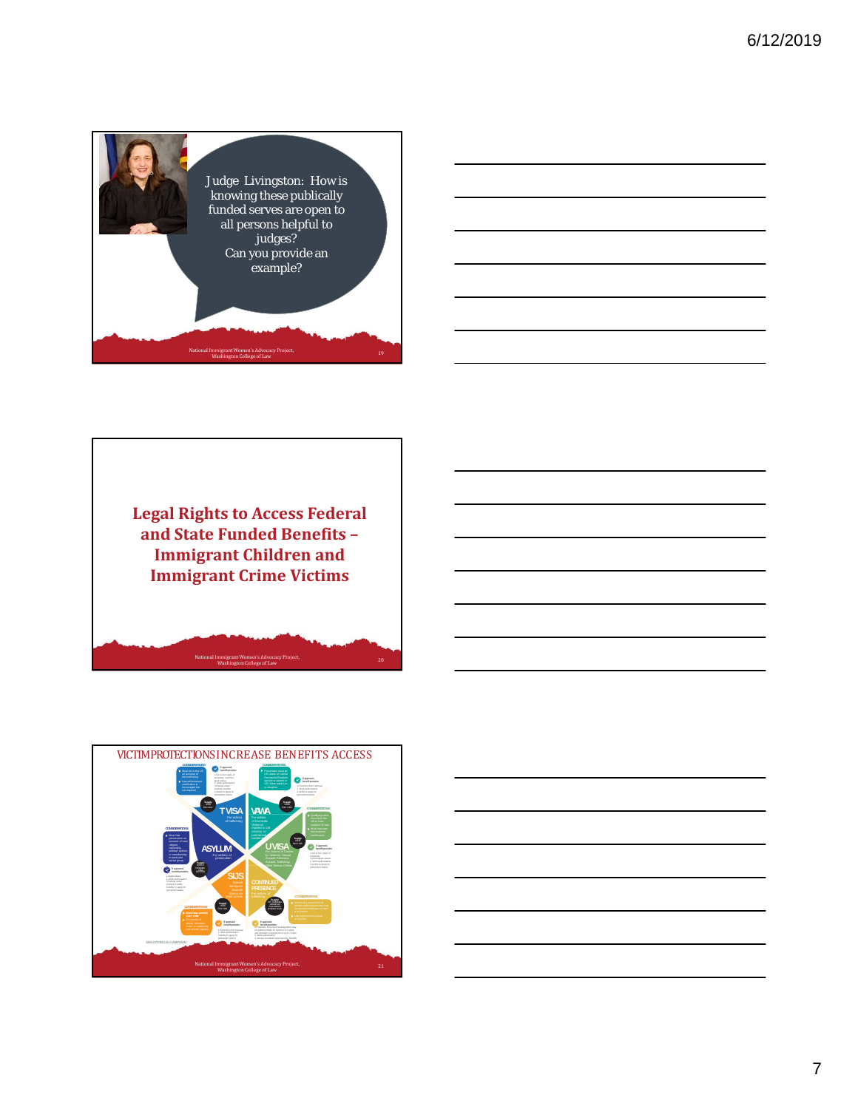



**Legal Rights to Access Federal and State Funded Benefits – Immigrant Children and Immigrant Crime Victims**



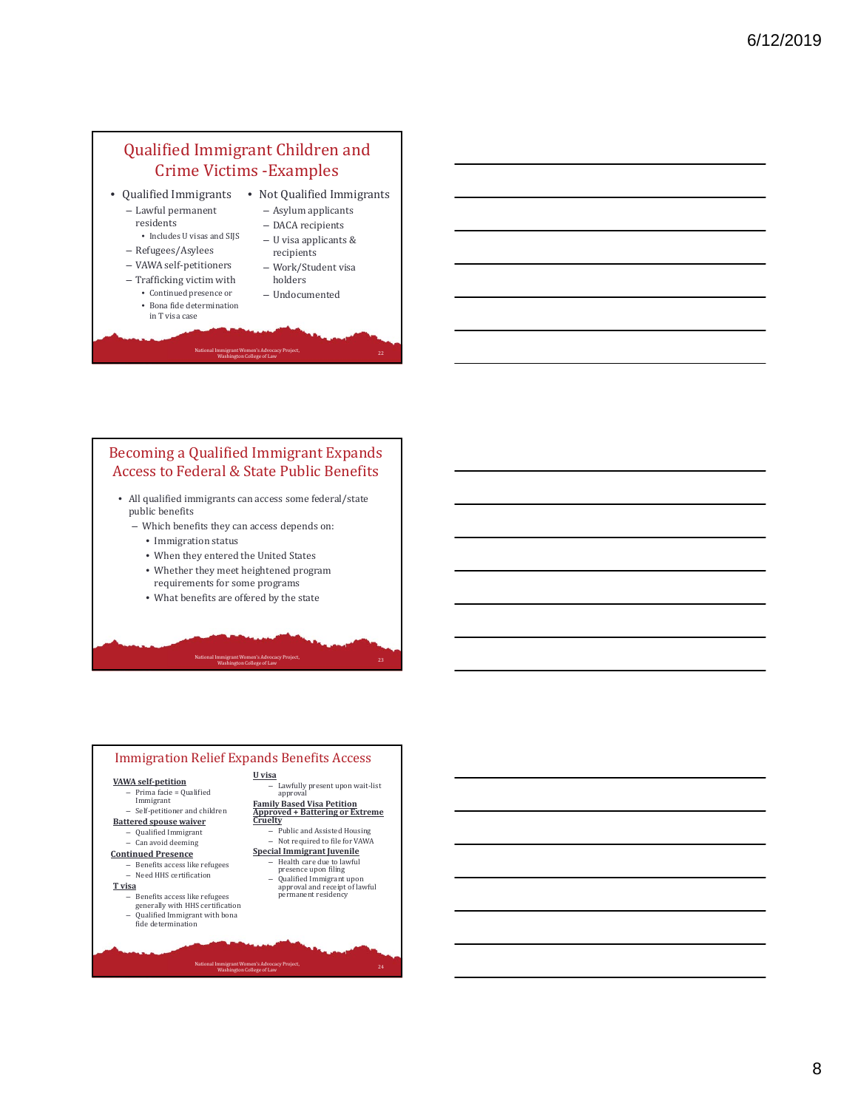## Qualified Immigrant Children and Crime Victims - Examples

• Qualified Immigrants • Not Qualified Immigrants – Lawful permanent 

residents 

- Asylum applicants
- DACA recipients
- $\bullet~$  Includes U visas and SIJS
- Refugees/Asylees
- VAWA self‐petitioners
- Trafficking victim with • Continued presence or
	- Bona fide determination in T visa case
- U visa applicants &
- recipients – Work/Student visa
- holders

analysis when the college of Law 22<br>Washington College of Law

– Undocumented 

## Becoming a Qualified Immigrant Expands Access to Federal & State Public Benefits

National Immigrant Women's Advocacy Project,

- All qualified immigrants can access some federal/state public benefits
	- Which benefits they can access depends on:
		- Immigration status
		- $\bullet\,$  When they entered the United States
		- $\bullet\,$  Whether they meet heightened program requirements for some programs
		- What benefits are offered by the state

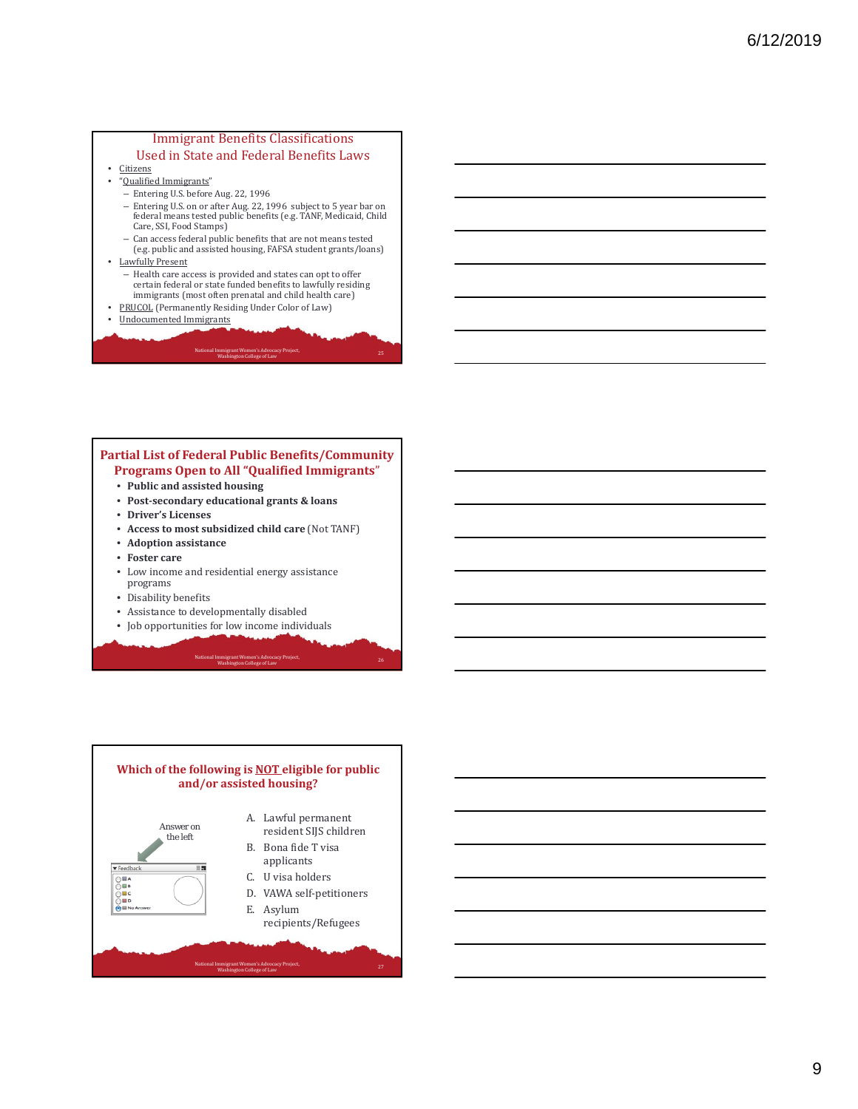#### **Immigrant Benefits Classifications** Used in State and Federal Benefits Laws

- Citizens
- "Qualified Immigrants"
	- Entering U.S. before Aug. 22, 1996
	- Entering U.S. on or after Aug. 22, 1996 subject to 5 year bar on federal means tested public benefits (e.g. TANF, Medicaid, Child Care, SSI, Food Stamps)
	- Can access federal public benefits that are not means tested<br>(e.g. public and assisted housing, FAFSA student grants/loans)
- Lawfully Present
	- Health care access is provided and states can opt to offer certain federal or state funded benefits to lawfully residing immigrants (most often prenatal and child health care)
- PRUCOL (Permanently Residing Under Color of Law)
- Undocumented Immigrants

#### Advoca<br>: of Law wington, while it stationally reflect.<br>Washington College of Law

#### **Partial List of Federal Public Benefits/Community Programs Open to All "Qualified Immigrants**"

- **Public and assisted housing**
- **Post‐secondary educational grants & loans**
- **Driver's Licenses**
- **Access to most subsidized child care** (Not TANF)
- **Adoption assistance**
- **Foster care**
- Low income and residential energy assistance programs
- Disability benefits
- Assistance to developmentally disabled
- Job opportunities for low income individuals

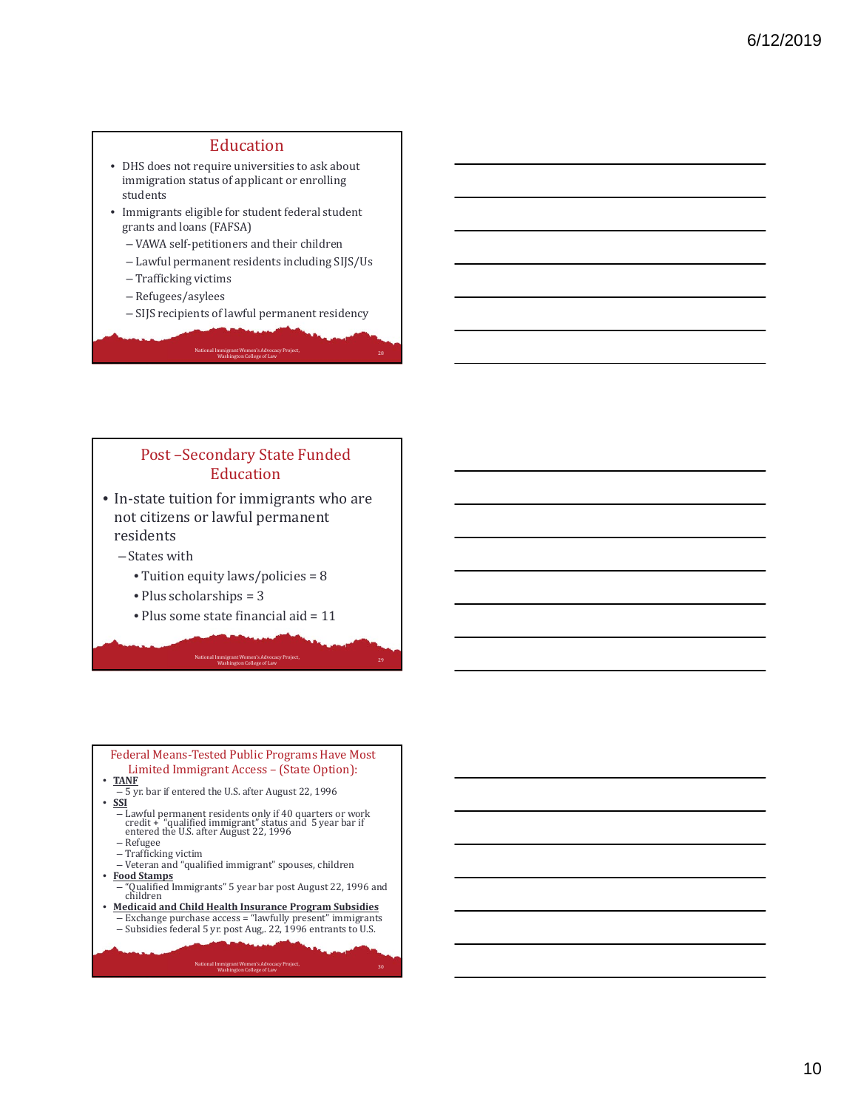#### Education

- DHS does not require universities to ask about immigration status of applicant or enrolling students
- Immigrants eligible for student federal student grants and loans (FAFSA)
	- VAWA self-petitioners and their children
	- Lawful permanent residents including SIJS/Us
	- Trafficking victims
	- Refugees/asylees
	- SIJS recipients of lawful permanent residency

National Immigrant Women's Advocacy Project, and the control of the collection of the college of Law 28 and the college of Law 28 and the collection of the collection of the collection of the collection of the collection o

## Post-Secondary State Funded Education

- In-state tuition for immigrants who are not citizens or lawful permanent residents
	- States with
		- Tuition equity  $laws/policies = 8$
		- $\bullet$  Plus scholarships = 3
		- Plus some state financial aid  $= 11$

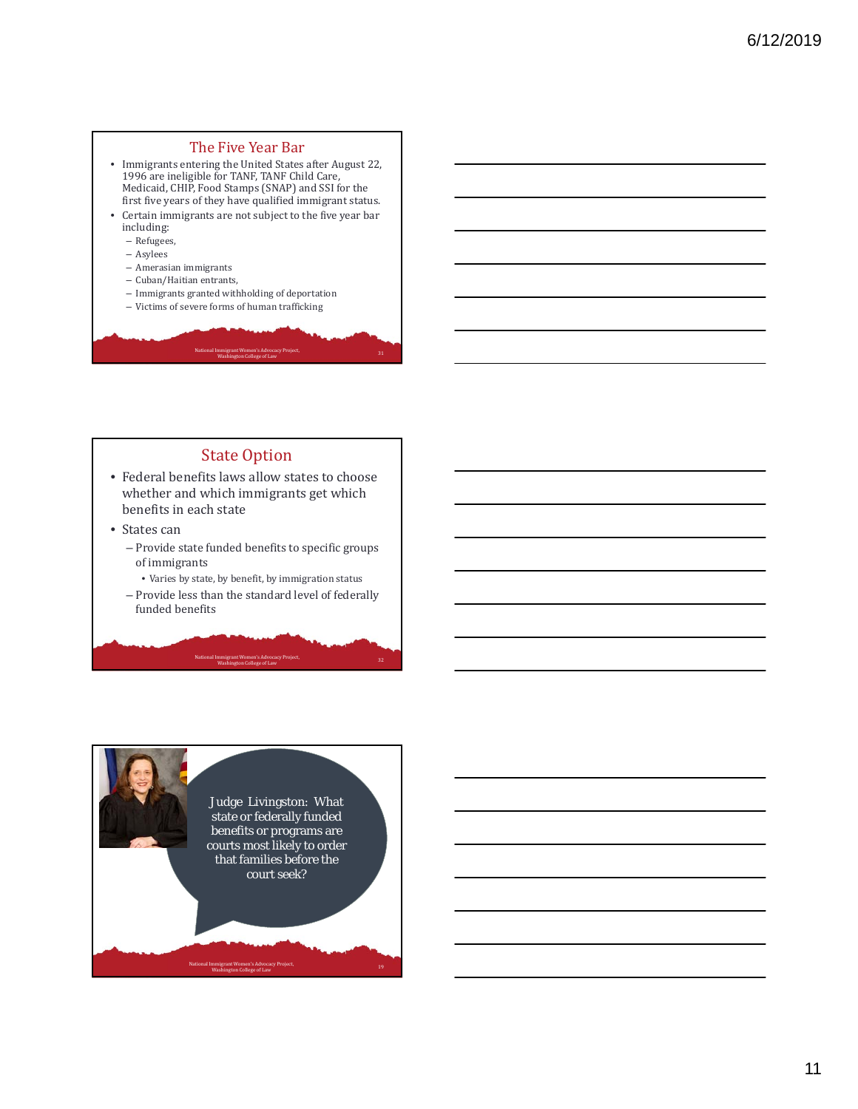## The Five Year Bar

- Immigrants entering the United States after August 22, 1996 are ineligible for TANF, TANF Child Care, Medicaid, CHIP, Food Stamps (SNAP) and SSI for the first five years of they have qualified immigrant status.
- Certain immigrants are not subject to the five year bar including:
	- Refugees,
	- Asylees
	- Amerasian immigrants
	- Cuban/Haitian entrants,
	- $-$  Immigrants granted withholding of deportation
	- Victims of severe forms of human trafficking

#### **State Option**

National Immigrant Women's Advocacy Project,

wington, while it stationally reflect.<br>Washington College of Law

- Federal benefits laws allow states to choose whether and which immigrants get which benefits in each state
- States can
	- Provide state funded benefits to specific groups of immigrants
	- $\bullet$  Varies by state, by benefit, by immigration status
	- Provide less than the standard level of federally funded benefits

National Immigrant Women's Advocacy Project,<br>
Washington College of Law 32

National Immigrant Women's Advocacy Project, and the control of the collection of the collection of the college of Law 19 and the collection of the collection of the collection of the collection of the collection of the co Judge Livingston: What state or federally funded benefits or programs are courts most likely to order that families before the court seek?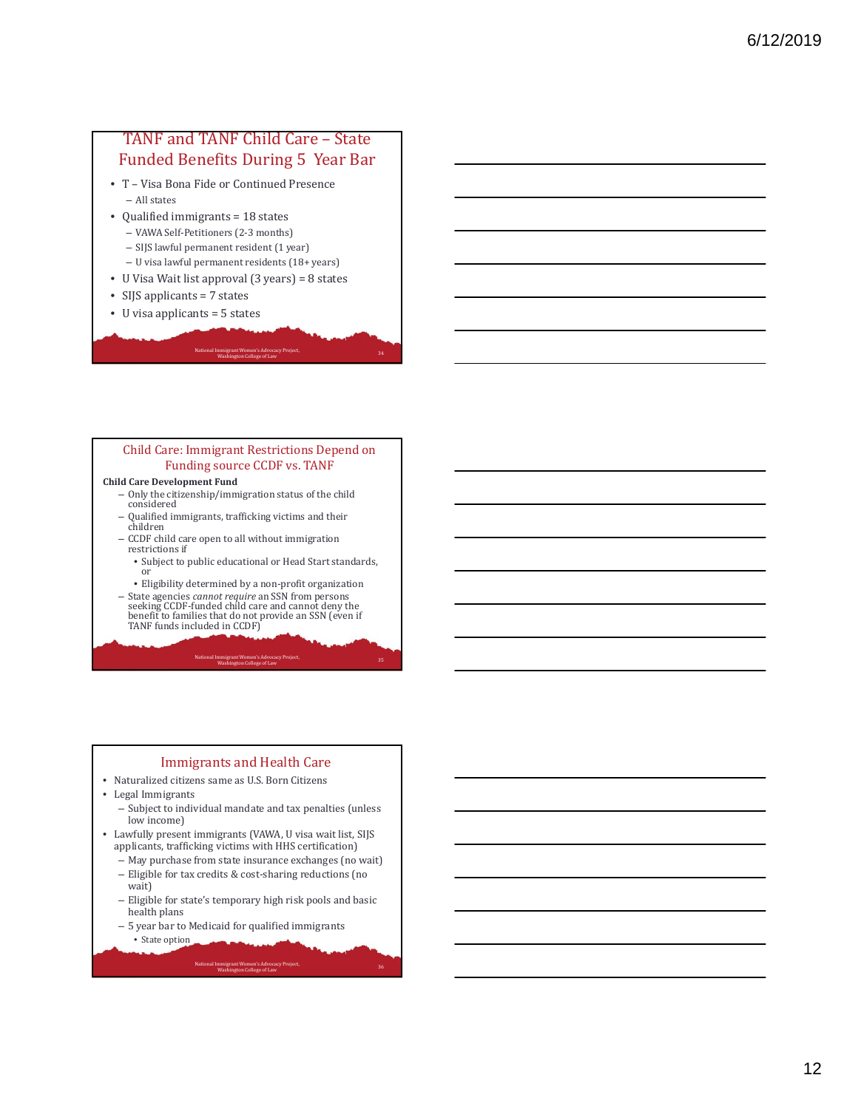## TANF and TANF Child Care - State Funded Benefits During 5 Year Bar

- T Visa Bona Fide or Continued Presence – All states
- Qualified immigrants  $= 18$  states
	- VAWA Self‐Petitioners (2‐3 months)
	- SIJS lawful permanent resident (1 year)
	- U visa lawful permanent residents (18+ years)
- U Visa Wait list approval  $(3 \text{ years}) = 8 \text{ states}$
- SIJS applicants  $= 7$  states
- U visa applicants  $= 5$  states

#### Child Care: Immigrant Restrictions Depend on Funding source CCDF vs. TANF

National Immigrant Women's Advocacy Project, and the control of the collection of the collection of the college of Law 34 and the collection of the collection of the collection of the collection of the collection of the co

#### **Child Care Development Fund**

- $-$  Only the citizenship/immigration status of the child considered
- Qualified immigrants, trafficking victims and their children
- CCDF child care open to all without immigration restrictions if
	- Subject to public educational or Head Start standards, or

• Eligibility determined by a non-profit organization

– State agencies *cannot require* an SSN from persons seeking CCDF-funded child care and cannot deny the benefit to families that do not provide an SSN (even if<br>TANF funds included in CCDF)

#### National Immigrant Women's Advocacy Project,<br>
Washington College of Law 35

#### Immigrants and Health Care

- Naturalized citizens same as U.S. Born Citizens
- Legal Immigrants
	- Subject to individual mandate and tax penalties (unless low income)
- Lawfully present immigrants (VAWA, U visa wait list, SIJS applicants, trafficking victims with HHS certification)
	- May purchase from state insurance exchanges (no wait)
	- Eligible for tax credits & cost-sharing reductions (no wait)
	- Eligible for state's temporary high risk pools and basic health plans

- $-5$  year bar to Medicaid for qualified immigrants
- State option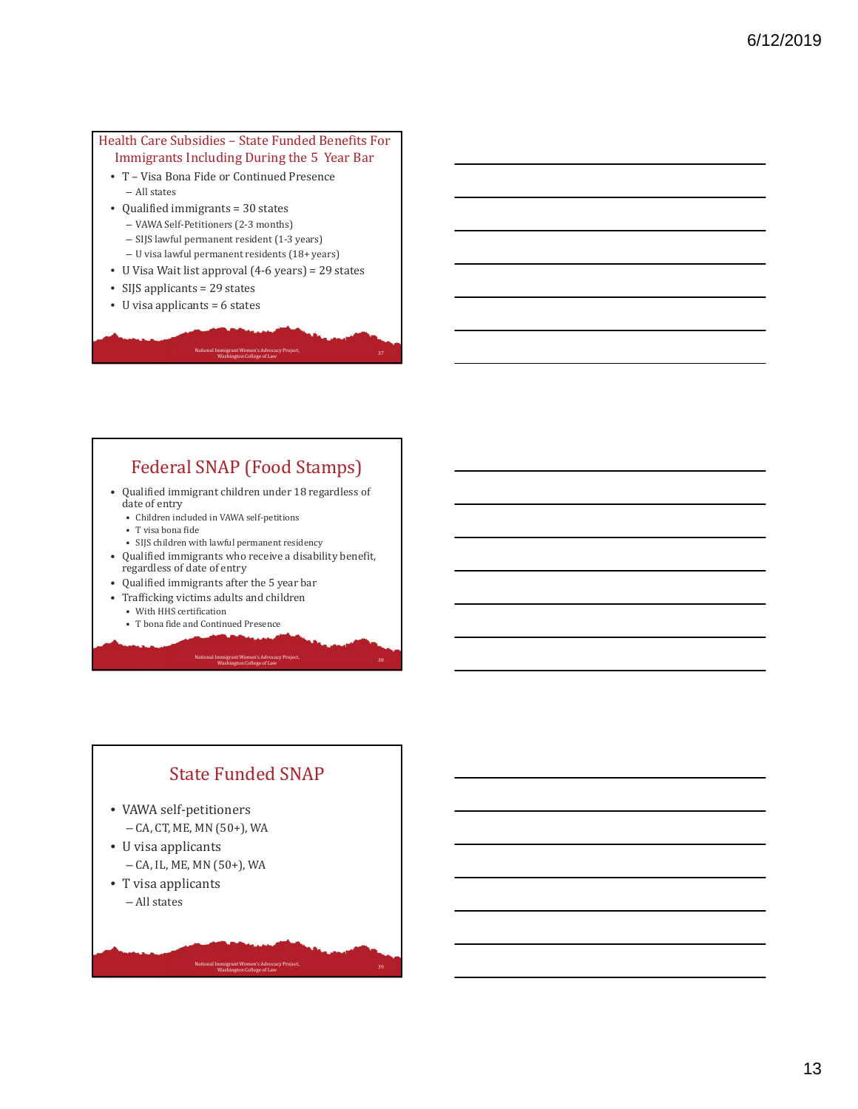#### Health Care Subsidies - State Funded Benefits For Immigrants Including During the 5 Year Bar

- T Visa Bona Fide or Continued Presence – All states
- Qualified immigrants = 30 states
	- VAWA Self-Petitioners (2-3 months)
	- SIJS lawful permanent resident (1-3 years)
	- U visa lawful permanent residents (18+ years)
- U Visa Wait list approval (4-6 years) = 29 states

National Immigrant Women's Advocacy Project,

and the college of Law 37<br>Washington College of Law

- SIJS applicants  $= 29$  states
- U visa applicants  $= 6$  states

## Federal SNAP (Food Stamps)

- Qualified immigrant children under 18 regardless of date of entry
	- Children included in VAWA self-petitions
	- T visa bona fide
	- SIJS children with lawful permanent residency
- Qualified immigrants who receive a disability benefit, regardless of date of entry

National Immigrant Women's Advocacy Project,<br>
Washington College of Law 38

National Immigrant Women's Advocacy Project,<br>
Washington College of Law 39

- Qualified immigrants after the 5 year bar
- Trafficking victims adults and children
	- With HHS certification
	- T bona fide and Continued Presence

# **State Funded SNAP**

- VAWA self-petitioners - CA, CT, ME, MN (50+), WA
- U visa applicants - CA, IL, ME, MN (50+), WA
- T visa applicants – All states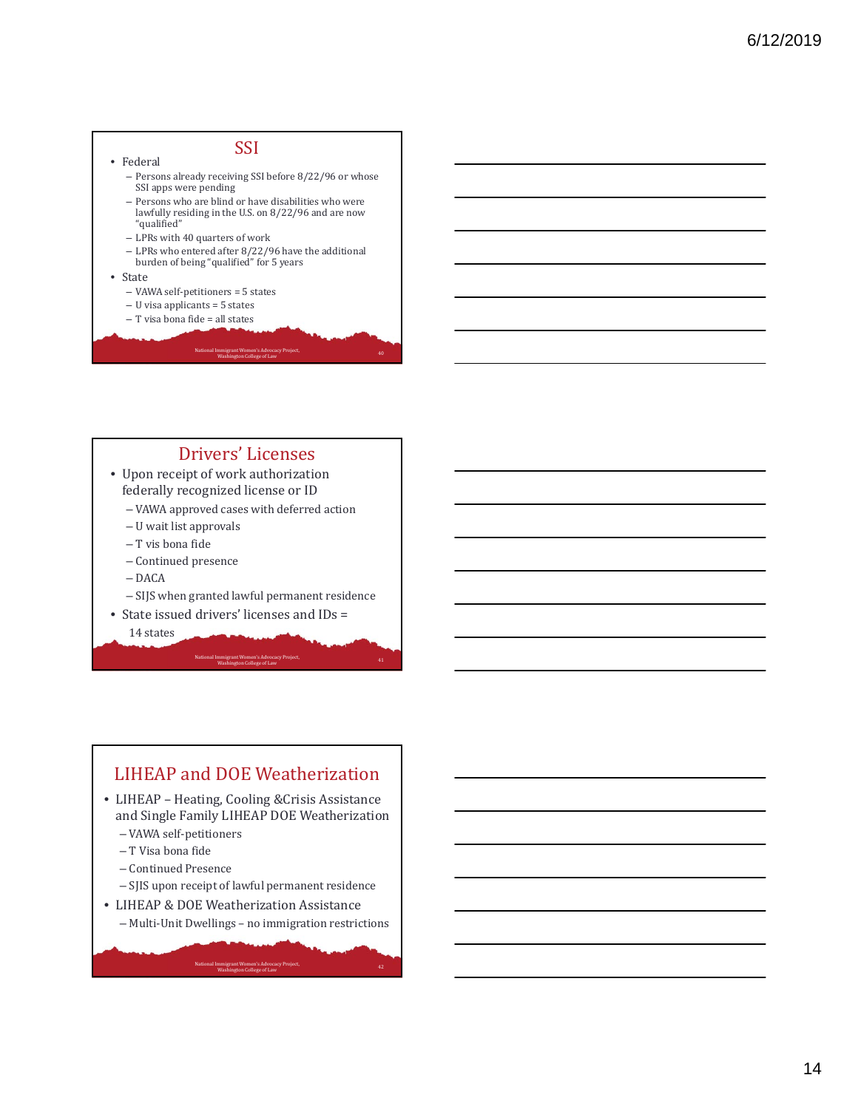#### • Federal **SSI** - Persons already receiving SSI before 8/22/96 or whose SSI apps were pending - Persons who are blind or have disabilities who were lawfully residing in the U.S. on 8/22/96 and are now "qualified" - LPRs with 40 quarters of work  $-$  LPRs who entered after  $8/22/96$  have the additional burden of being "qualified" for 5 years • State – VAWA self-petitioners = 5 states  $-$  U visa applicants  $=$  5 states  $-$  T visa bona fide  $=$  all states National Immigrant Women's Advocacy Project, and the control of the collection of the college of Law 40 and the college of Law 40 and the collection of the collection of the collection of the collection of the collection o

## Drivers' Licenses

- Upon receipt of work authorization federally recognized license or ID
	- VAWA approved cases with deferred action
	- U wait list approvals
	- T vis bona fide
	- Continued presence
	- DACA
	- SIJS when granted lawful permanent residence
- State issued drivers' licenses and IDs =

14 states

#### National Immigrant Women's Advocacy Project,<br>
Washington College of Law 41

## LIHEAP and DOE Weatherization

- LIHEAP Heating, Cooling & Crisis Assistance and Single Family LIHEAP DOE Weatherization
	- VAWA self‐petitioners
	- T Visa bona fide
	- Continued Presence
	- SJIS upon receipt of lawful permanent residence
- LIHEAP & DOE Weatherization Assistance

National Immigrant Women's Advocacy Project, and the control of the collection of the college of Law 42 and the college of Law 42 and the college of Law 42 and the college of Law 42 and the collection of the college of Law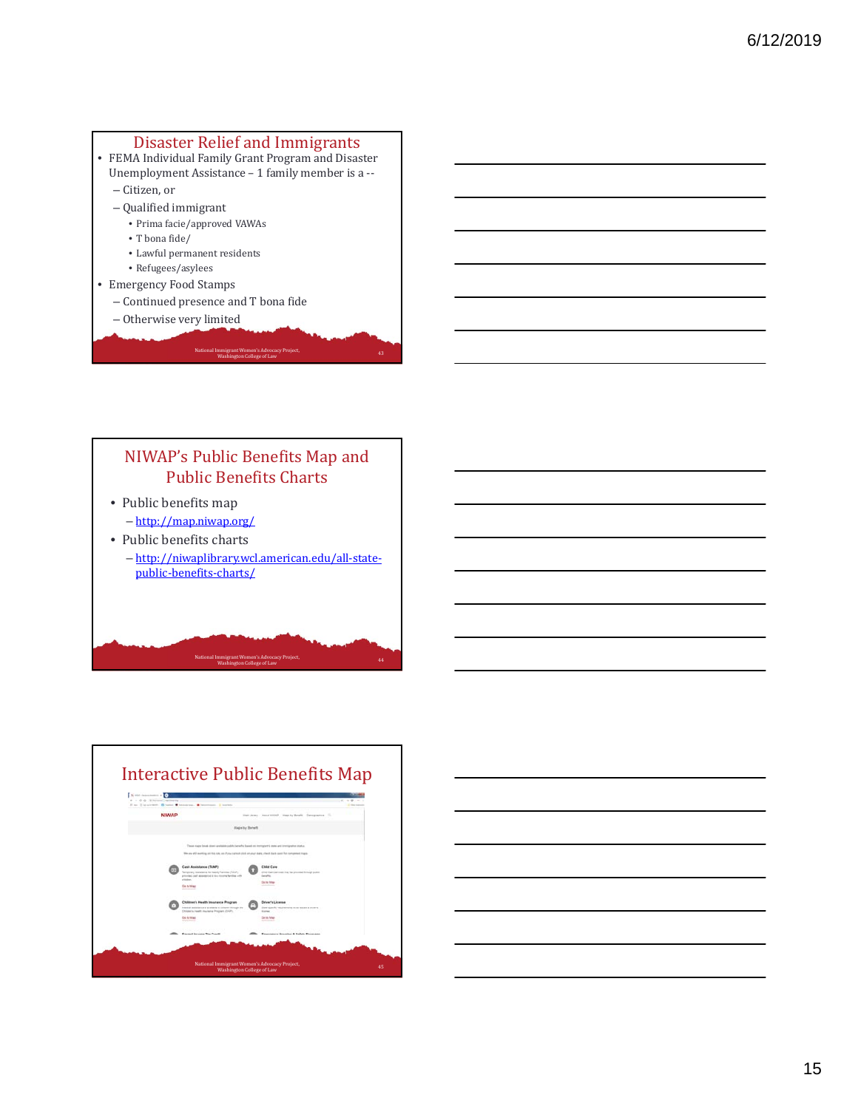#### Disaster Relief and Immigrants

- FEMA Individual Family Grant Program and Disaster Unemployment Assistance - 1 family member is a --
	- Citizen, or
	- $-$ Qualified immigrant
		- Prima facie/approved VAWAs
		- T bona fide/
		- Lawful permanent residents
		- Refugees/asylees
- Emergency Food Stamps
	- Continued presence and T bona fide
- Otherwise very limited

## NIWAP's Public Benefits Map and Public Benefits Charts • Public benefits map – http://map.niwap.org/ • Public benefits charts – http://niwaplibrary.wcl.american.edu/all‐state‐ public‐benefits‐charts/

National Immigrant Women's Advocacy Project, and the control of the collection of the college of Law 43 and the college of Law 43 and the collection of the college of Law 43 and the collection of the collection of the coll



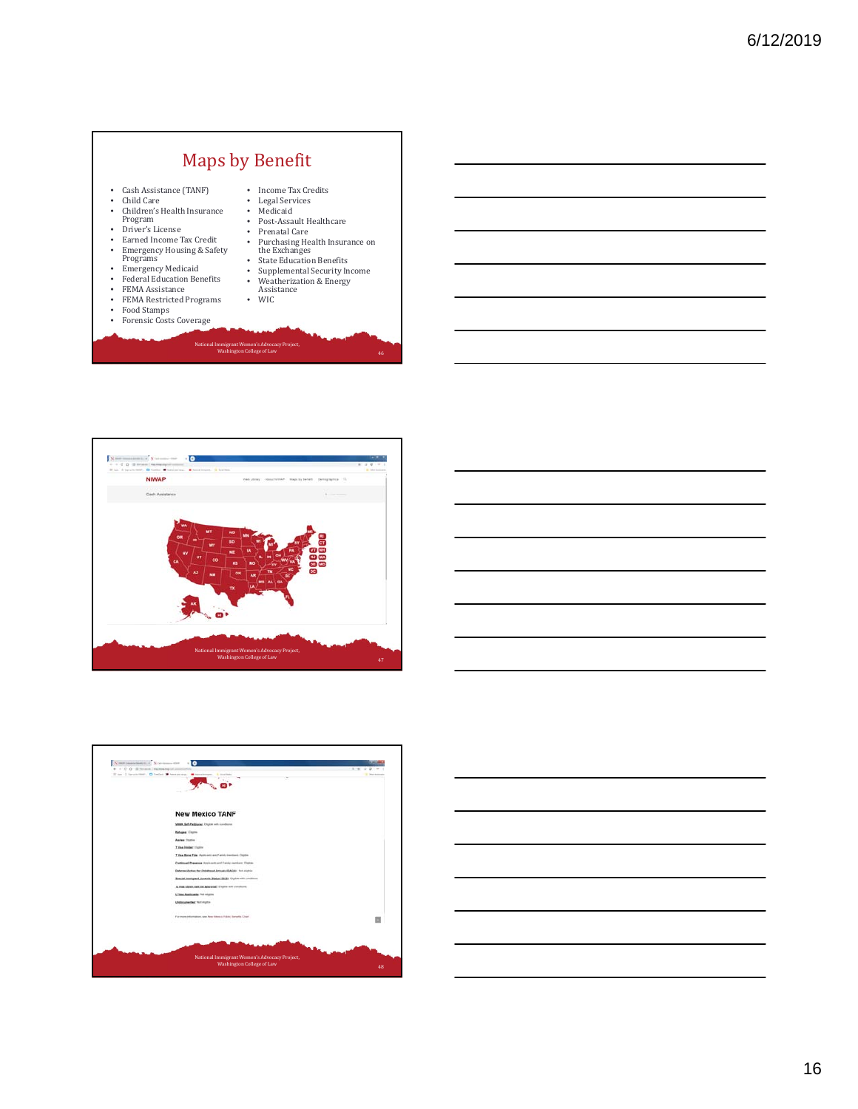## Maps by Benefit

- Cash Assistance (TANF) Child Care
- Children's Health Insurance
- Program<br>• Driver's License
- 
- Earned Income Tax Credit<br>• Emergency Housing & Safet • Emergency Housing & Safety<br>Programs
- 
- Emergency Medicaid
- 
- Federal Education Benefits FEMA Assistance FEMA Restricted Programs
- 
- Food Stamps Forensic Costs Coverage

- Income Tax Credits Legal Services Medicaid
- 
- Post-Assault Healthcare<br>• Prenatal Care
- 
- 
- 

National Immigrant Women's Advocacy Project,<br>Washington College of Law 46

- 
- Assistance WIC
- 



# • Prenatal Care<br>• Purchasing Health Insurance on<br>• State Education Benefits<br>• Supplemental Security Income<br>• Weatherization & Energy



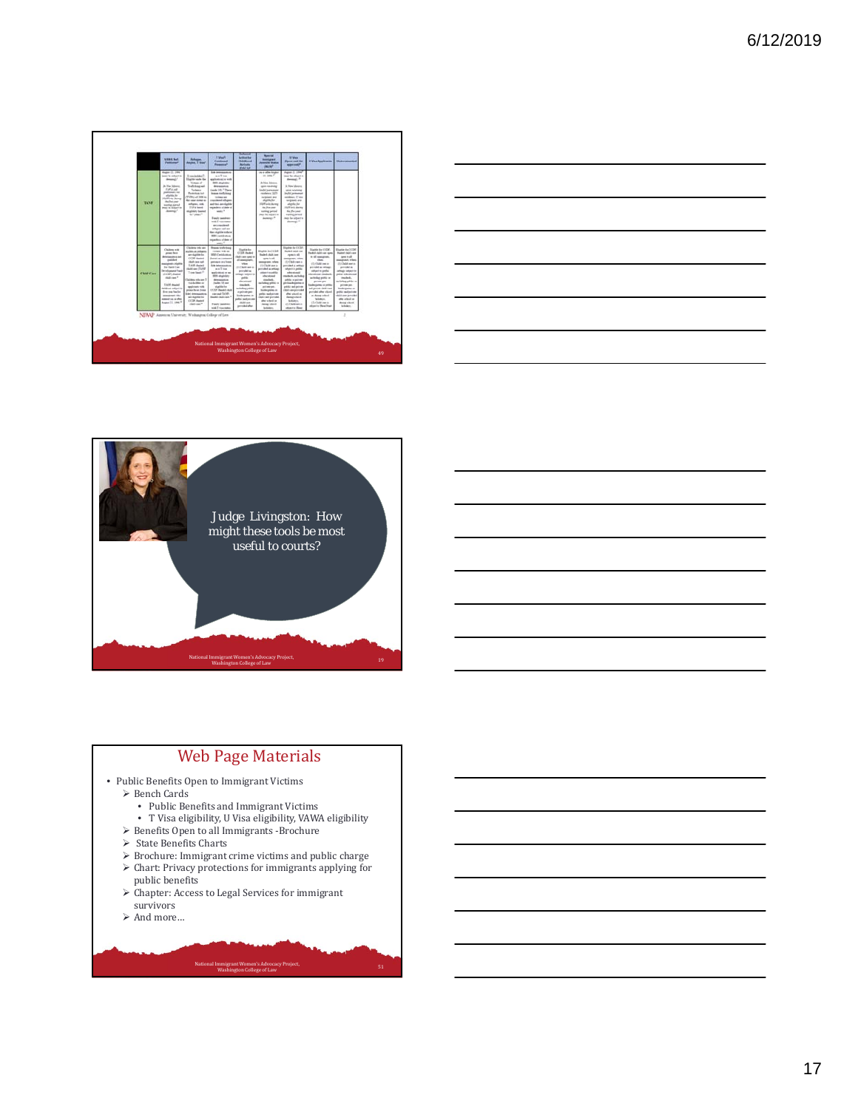





## Web Page Materials

- Public Benefits Open to Immigrant Victims
	- Bench Cards
		- Public Benefits and Immigrant Victims
		- T Visa eligibility, U Visa eligibility, VAWA eligibility
	- $\triangleright$  Benefits Open to all Immigrants -Brochure
	- $\triangleright$  State Benefits Charts
	- $\blacktriangleright$  Brochure: Immigrant crime victims and public charge
	- $\blacktriangleright$  Chart: Privacy protections for immigrants applying for public benefits

- $\blacktriangleright$  Chapter: Access to Legal Services for immigrant survivors
- $\blacktriangleright$  And more…
-